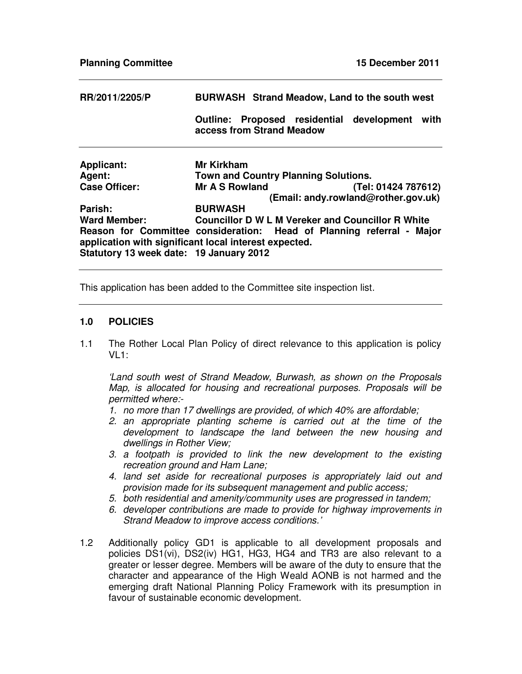| RR/2011/2205/P                                                                                                                 | <b>BURWASH</b> Strand Meadow, Land to the south west |  |                                             |                                                          |      |
|--------------------------------------------------------------------------------------------------------------------------------|------------------------------------------------------|--|---------------------------------------------|----------------------------------------------------------|------|
|                                                                                                                                | <b>Outline:</b><br>access from Strand Meadow         |  |                                             | Proposed residential development                         | with |
| <b>Applicant:</b>                                                                                                              | <b>Mr Kirkham</b>                                    |  |                                             |                                                          |      |
| Agent:                                                                                                                         |                                                      |  | <b>Town and Country Planning Solutions.</b> |                                                          |      |
| <b>Case Officer:</b>                                                                                                           | Mr A S Rowland                                       |  |                                             | (Tel: 01424 787612)                                      |      |
|                                                                                                                                |                                                      |  |                                             | (Email: andy.rowland@rother.gov.uk)                      |      |
| Parish:                                                                                                                        | <b>BURWASH</b>                                       |  |                                             |                                                          |      |
| <b>Ward Member:</b>                                                                                                            |                                                      |  |                                             | <b>Councillor D W L M Vereker and Councillor R White</b> |      |
| Reason for Committee consideration: Head of Planning referral - Major<br>application with significant local interest expected. |                                                      |  |                                             |                                                          |      |
| Statutory 13 week date: 19 January 2012                                                                                        |                                                      |  |                                             |                                                          |      |

This application has been added to the Committee site inspection list.

## **1.0 POLICIES**

1.1 The Rother Local Plan Policy of direct relevance to this application is policy  $VI:$ 

*'Land south west of Strand Meadow, Burwash, as shown on the Proposals Map, is allocated for housing and recreational purposes. Proposals will be permitted where:-*

- *1. no more than 17 dwellings are provided, of which 40% are affordable;*
- *2. an appropriate planting scheme is carried out at the time of the development to landscape the land between the new housing and dwellings in Rother View;*
- *3. a footpath is provided to link the new development to the existing recreation ground and Ham Lane;*
- *4. land set aside for recreational purposes is appropriately laid out and provision made for its subsequent management and public access;*
- *5. both residential and amenity/community uses are progressed in tandem;*
- *6. developer contributions are made to provide for highway improvements in Strand Meadow to improve access conditions.'*
- 1.2 Additionally policy GD1 is applicable to all development proposals and policies DS1(vi), DS2(iv) HG1, HG3, HG4 and TR3 are also relevant to a greater or lesser degree. Members will be aware of the duty to ensure that the character and appearance of the High Weald AONB is not harmed and the emerging draft National Planning Policy Framework with its presumption in favour of sustainable economic development.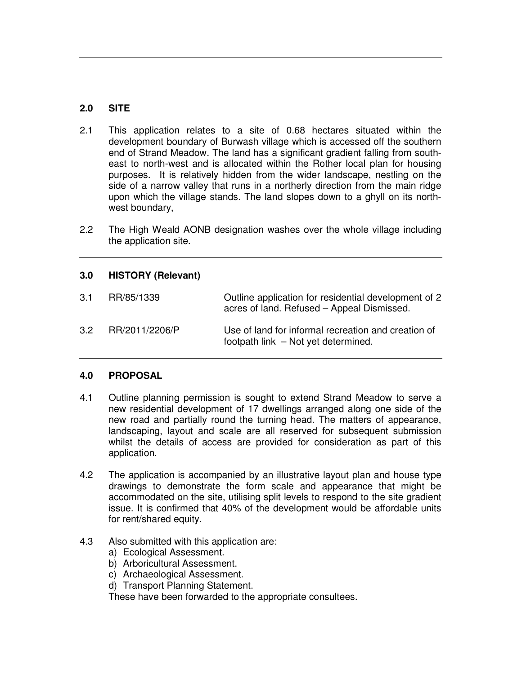# **2.0 SITE**

- 2.1 This application relates to a site of 0.68 hectares situated within the development boundary of Burwash village which is accessed off the southern end of Strand Meadow. The land has a significant gradient falling from southeast to north-west and is allocated within the Rother local plan for housing purposes. It is relatively hidden from the wider landscape, nestling on the side of a narrow valley that runs in a northerly direction from the main ridge upon which the village stands. The land slopes down to a ghyll on its northwest boundary,
- 2.2 The High Weald AONB designation washes over the whole village including the application site.

## **3.0 HISTORY (Relevant)**

| 3.1              | RR/85/1339     | Outline application for residential development of 2<br>acres of land. Refused – Appeal Dismissed. |
|------------------|----------------|----------------------------------------------------------------------------------------------------|
| 3.2 <sub>1</sub> | RR/2011/2206/P | Use of land for informal recreation and creation of<br>footpath link - Not yet determined.         |

## **4.0 PROPOSAL**

- 4.1 Outline planning permission is sought to extend Strand Meadow to serve a new residential development of 17 dwellings arranged along one side of the new road and partially round the turning head. The matters of appearance, landscaping, layout and scale are all reserved for subsequent submission whilst the details of access are provided for consideration as part of this application.
- 4.2 The application is accompanied by an illustrative layout plan and house type drawings to demonstrate the form scale and appearance that might be accommodated on the site, utilising split levels to respond to the site gradient issue. It is confirmed that 40% of the development would be affordable units for rent/shared equity.
- 4.3 Also submitted with this application are:
	- a) Ecological Assessment.
	- b) Arboricultural Assessment.
	- c) Archaeological Assessment.
	- d) Transport Planning Statement.

These have been forwarded to the appropriate consultees.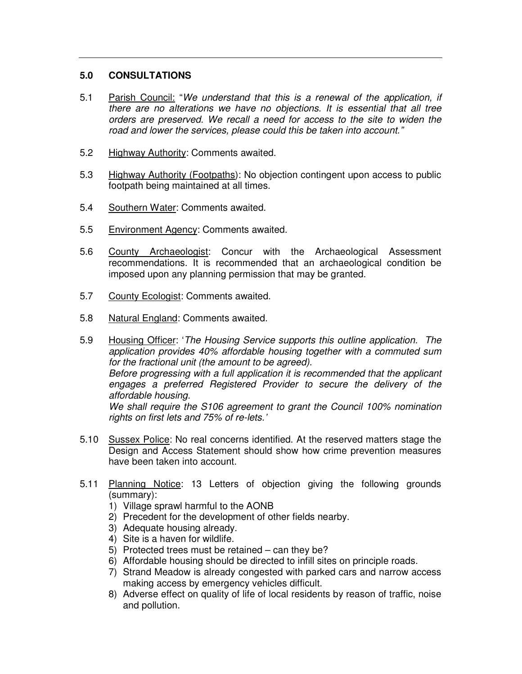## **5.0 CONSULTATIONS**

- 5.1 Parish Council: "*We understand that this is a renewal of the application, if there are no alterations we have no objections. It is essential that all tree orders are preserved. We recall a need for access to the site to widen the road and lower the services, please could this be taken into account."*
- 5.2 Highway Authority: Comments awaited.
- 5.3 Highway Authority (Footpaths): No objection contingent upon access to public footpath being maintained at all times.
- 5.4 Southern Water: Comments awaited.
- 5.5 Environment Agency: Comments awaited.
- 5.6 County Archaeologist: Concur with the Archaeological Assessment recommendations. It is recommended that an archaeological condition be imposed upon any planning permission that may be granted.
- 5.7 County Ecologist: Comments awaited.
- 5.8 Natural England: Comments awaited.
- 5.9 Housing Officer: '*The Housing Service supports this outline application. The application provides 40% affordable housing together with a commuted sum for the fractional unit (the amount to be agreed). Before progressing with a full application it is recommended that the applicant engages a preferred Registered Provider to secure the delivery of the affordable housing. We shall require the S106 agreement to grant the Council 100% nomination rights on first lets and 75% of re-lets.'*
- 5.10 Sussex Police: No real concerns identified. At the reserved matters stage the Design and Access Statement should show how crime prevention measures have been taken into account.
- 5.11 Planning Notice: 13 Letters of objection giving the following grounds (summary):
	- 1) Village sprawl harmful to the AONB
	- 2) Precedent for the development of other fields nearby.
	- 3) Adequate housing already.
	- 4) Site is a haven for wildlife.
	- 5) Protected trees must be retained can they be?
	- 6) Affordable housing should be directed to infill sites on principle roads.
	- 7) Strand Meadow is already congested with parked cars and narrow access making access by emergency vehicles difficult.
	- 8) Adverse effect on quality of life of local residents by reason of traffic, noise and pollution.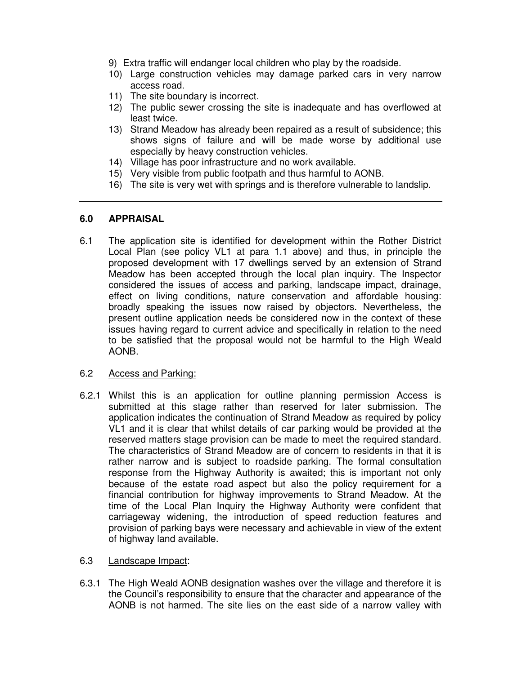- 9) Extra traffic will endanger local children who play by the roadside.
- 10) Large construction vehicles may damage parked cars in very narrow access road.
- 11) The site boundary is incorrect.
- 12) The public sewer crossing the site is inadequate and has overflowed at least twice.
- 13) Strand Meadow has already been repaired as a result of subsidence; this shows signs of failure and will be made worse by additional use especially by heavy construction vehicles.
- 14) Village has poor infrastructure and no work available.
- 15) Very visible from public footpath and thus harmful to AONB.
- 16) The site is very wet with springs and is therefore vulnerable to landslip.

#### **6.0 APPRAISAL**

- 6.1 The application site is identified for development within the Rother District Local Plan (see policy VL1 at para 1.1 above) and thus, in principle the proposed development with 17 dwellings served by an extension of Strand Meadow has been accepted through the local plan inquiry. The Inspector considered the issues of access and parking, landscape impact, drainage, effect on living conditions, nature conservation and affordable housing: broadly speaking the issues now raised by objectors. Nevertheless, the present outline application needs be considered now in the context of these issues having regard to current advice and specifically in relation to the need to be satisfied that the proposal would not be harmful to the High Weald AONB.
- 6.2 Access and Parking:
- 6.2.1 Whilst this is an application for outline planning permission Access is submitted at this stage rather than reserved for later submission. The application indicates the continuation of Strand Meadow as required by policy VL1 and it is clear that whilst details of car parking would be provided at the reserved matters stage provision can be made to meet the required standard. The characteristics of Strand Meadow are of concern to residents in that it is rather narrow and is subject to roadside parking. The formal consultation response from the Highway Authority is awaited; this is important not only because of the estate road aspect but also the policy requirement for a financial contribution for highway improvements to Strand Meadow. At the time of the Local Plan Inquiry the Highway Authority were confident that carriageway widening, the introduction of speed reduction features and provision of parking bays were necessary and achievable in view of the extent of highway land available.
- 6.3 Landscape Impact:
- 6.3.1 The High Weald AONB designation washes over the village and therefore it is the Council's responsibility to ensure that the character and appearance of the AONB is not harmed. The site lies on the east side of a narrow valley with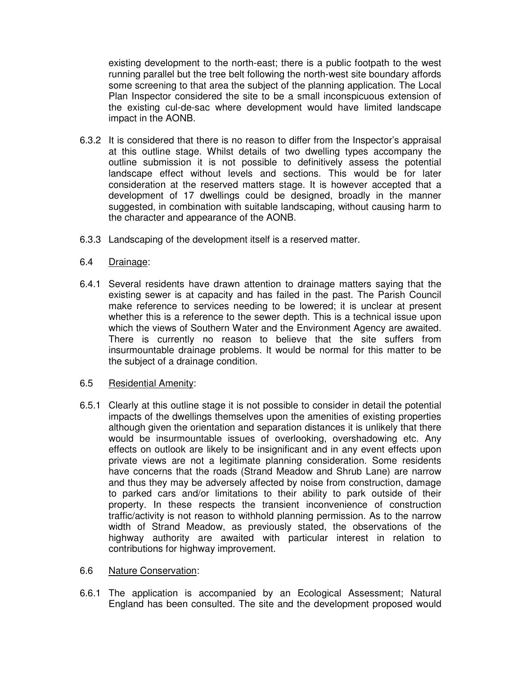existing development to the north-east; there is a public footpath to the west running parallel but the tree belt following the north-west site boundary affords some screening to that area the subject of the planning application. The Local Plan Inspector considered the site to be a small inconspicuous extension of the existing cul-de-sac where development would have limited landscape impact in the AONB.

- 6.3.2 It is considered that there is no reason to differ from the Inspector's appraisal at this outline stage. Whilst details of two dwelling types accompany the outline submission it is not possible to definitively assess the potential landscape effect without levels and sections. This would be for later consideration at the reserved matters stage. It is however accepted that a development of 17 dwellings could be designed, broadly in the manner suggested, in combination with suitable landscaping, without causing harm to the character and appearance of the AONB.
- 6.3.3 Landscaping of the development itself is a reserved matter.
- 6.4 Drainage:
- 6.4.1 Several residents have drawn attention to drainage matters saying that the existing sewer is at capacity and has failed in the past. The Parish Council make reference to services needing to be lowered; it is unclear at present whether this is a reference to the sewer depth. This is a technical issue upon which the views of Southern Water and the Environment Agency are awaited. There is currently no reason to believe that the site suffers from insurmountable drainage problems. It would be normal for this matter to be the subject of a drainage condition.
- 6.5 Residential Amenity:
- 6.5.1 Clearly at this outline stage it is not possible to consider in detail the potential impacts of the dwellings themselves upon the amenities of existing properties although given the orientation and separation distances it is unlikely that there would be insurmountable issues of overlooking, overshadowing etc. Any effects on outlook are likely to be insignificant and in any event effects upon private views are not a legitimate planning consideration. Some residents have concerns that the roads (Strand Meadow and Shrub Lane) are narrow and thus they may be adversely affected by noise from construction, damage to parked cars and/or limitations to their ability to park outside of their property. In these respects the transient inconvenience of construction traffic/activity is not reason to withhold planning permission. As to the narrow width of Strand Meadow, as previously stated, the observations of the highway authority are awaited with particular interest in relation to contributions for highway improvement.

#### 6.6 Nature Conservation:

6.6.1 The application is accompanied by an Ecological Assessment; Natural England has been consulted. The site and the development proposed would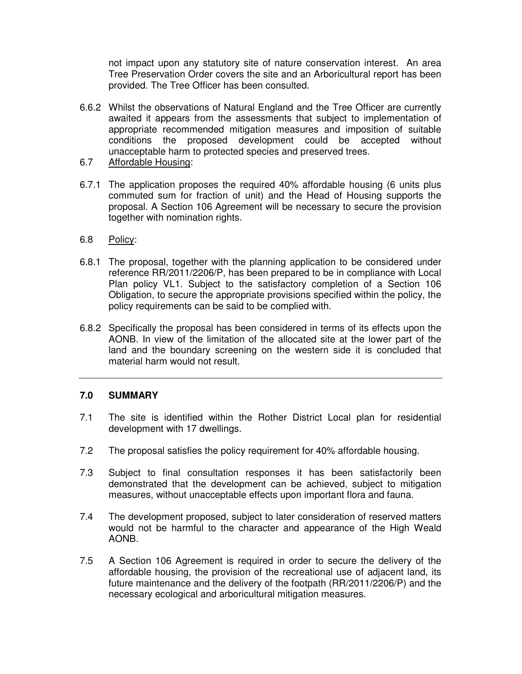not impact upon any statutory site of nature conservation interest. An area Tree Preservation Order covers the site and an Arboricultural report has been provided. The Tree Officer has been consulted.

- 6.6.2 Whilst the observations of Natural England and the Tree Officer are currently awaited it appears from the assessments that subject to implementation of appropriate recommended mitigation measures and imposition of suitable conditions the proposed development could be accepted without unacceptable harm to protected species and preserved trees.
- 6.7 Affordable Housing:
- 6.7.1 The application proposes the required 40% affordable housing (6 units plus commuted sum for fraction of unit) and the Head of Housing supports the proposal. A Section 106 Agreement will be necessary to secure the provision together with nomination rights.
- 6.8 Policy:
- 6.8.1 The proposal, together with the planning application to be considered under reference RR/2011/2206/P, has been prepared to be in compliance with Local Plan policy VL1. Subject to the satisfactory completion of a Section 106 Obligation, to secure the appropriate provisions specified within the policy, the policy requirements can be said to be complied with.
- 6.8.2 Specifically the proposal has been considered in terms of its effects upon the AONB. In view of the limitation of the allocated site at the lower part of the land and the boundary screening on the western side it is concluded that material harm would not result.

## **7.0 SUMMARY**

- 7.1 The site is identified within the Rother District Local plan for residential development with 17 dwellings.
- 7.2 The proposal satisfies the policy requirement for 40% affordable housing.
- 7.3 Subject to final consultation responses it has been satisfactorily been demonstrated that the development can be achieved, subject to mitigation measures, without unacceptable effects upon important flora and fauna.
- 7.4 The development proposed, subject to later consideration of reserved matters would not be harmful to the character and appearance of the High Weald AONB.
- 7.5 A Section 106 Agreement is required in order to secure the delivery of the affordable housing, the provision of the recreational use of adjacent land, its future maintenance and the delivery of the footpath (RR/2011/2206/P) and the necessary ecological and arboricultural mitigation measures.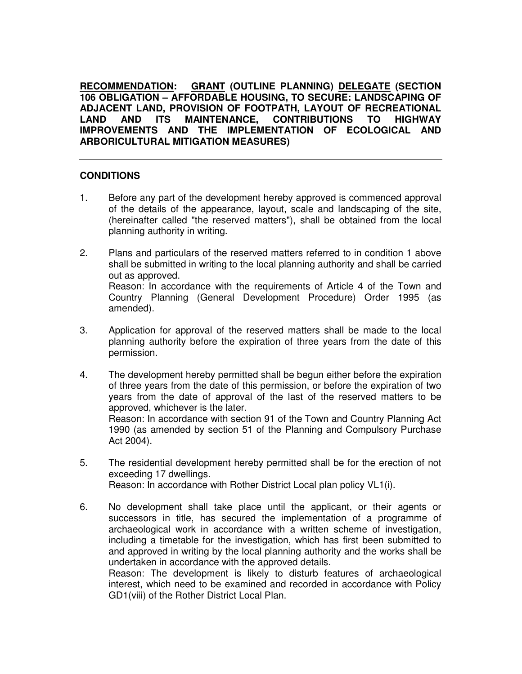**RECOMMENDATION: GRANT (OUTLINE PLANNING) DELEGATE (SECTION 106 OBLIGATION – AFFORDABLE HOUSING, TO SECURE: LANDSCAPING OF ADJACENT LAND, PROVISION OF FOOTPATH, LAYOUT OF RECREATIONAL LAND AND ITS MAINTENANCE, CONTRIBUTIONS TO HIGHWAY IMPROVEMENTS AND THE IMPLEMENTATION OF ECOLOGICAL AND ARBORICULTURAL MITIGATION MEASURES)**

## **CONDITIONS**

- 1. Before any part of the development hereby approved is commenced approval of the details of the appearance, layout, scale and landscaping of the site, (hereinafter called "the reserved matters"), shall be obtained from the local planning authority in writing.
- 2. Plans and particulars of the reserved matters referred to in condition 1 above shall be submitted in writing to the local planning authority and shall be carried out as approved. Reason: In accordance with the requirements of Article 4 of the Town and Country Planning (General Development Procedure) Order 1995 (as amended).
- 3. Application for approval of the reserved matters shall be made to the local planning authority before the expiration of three years from the date of this permission.
- 4. The development hereby permitted shall be begun either before the expiration of three years from the date of this permission, or before the expiration of two years from the date of approval of the last of the reserved matters to be approved, whichever is the later. Reason: In accordance with section 91 of the Town and Country Planning Act 1990 (as amended by section 51 of the Planning and Compulsory Purchase Act 2004).
- 5. The residential development hereby permitted shall be for the erection of not exceeding 17 dwellings. Reason: In accordance with Rother District Local plan policy VL1(i).
- 6. No development shall take place until the applicant, or their agents or successors in title, has secured the implementation of a programme of archaeological work in accordance with a written scheme of investigation, including a timetable for the investigation, which has first been submitted to and approved in writing by the local planning authority and the works shall be undertaken in accordance with the approved details. Reason: The development is likely to disturb features of archaeological

interest, which need to be examined and recorded in accordance with Policy GD1(viii) of the Rother District Local Plan.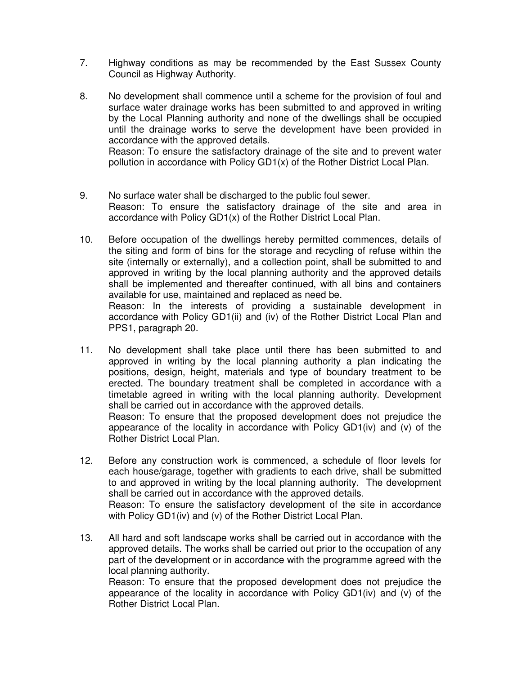- 7. Highway conditions as may be recommended by the East Sussex County Council as Highway Authority.
- 8. No development shall commence until a scheme for the provision of foul and surface water drainage works has been submitted to and approved in writing by the Local Planning authority and none of the dwellings shall be occupied until the drainage works to serve the development have been provided in accordance with the approved details. Reason: To ensure the satisfactory drainage of the site and to prevent water pollution in accordance with Policy GD1(x) of the Rother District Local Plan.
- 9. No surface water shall be discharged to the public foul sewer. Reason: To ensure the satisfactory drainage of the site and area in accordance with Policy GD1(x) of the Rother District Local Plan.
- 10. Before occupation of the dwellings hereby permitted commences, details of the siting and form of bins for the storage and recycling of refuse within the site (internally or externally), and a collection point, shall be submitted to and approved in writing by the local planning authority and the approved details shall be implemented and thereafter continued, with all bins and containers available for use, maintained and replaced as need be. Reason: In the interests of providing a sustainable development in accordance with Policy GD1(ii) and (iv) of the Rother District Local Plan and PPS1, paragraph 20.
- 11. No development shall take place until there has been submitted to and approved in writing by the local planning authority a plan indicating the positions, design, height, materials and type of boundary treatment to be erected. The boundary treatment shall be completed in accordance with a timetable agreed in writing with the local planning authority. Development shall be carried out in accordance with the approved details. Reason: To ensure that the proposed development does not prejudice the appearance of the locality in accordance with Policy GD1(iv) and (v) of the Rother District Local Plan.
- 12. Before any construction work is commenced, a schedule of floor levels for each house/garage, together with gradients to each drive, shall be submitted to and approved in writing by the local planning authority. The development shall be carried out in accordance with the approved details. Reason: To ensure the satisfactory development of the site in accordance

with Policy GD1(iv) and (v) of the Rother District Local Plan.

13. All hard and soft landscape works shall be carried out in accordance with the approved details. The works shall be carried out prior to the occupation of any part of the development or in accordance with the programme agreed with the local planning authority.

Reason: To ensure that the proposed development does not prejudice the appearance of the locality in accordance with Policy GD1(iv) and (v) of the Rother District Local Plan.